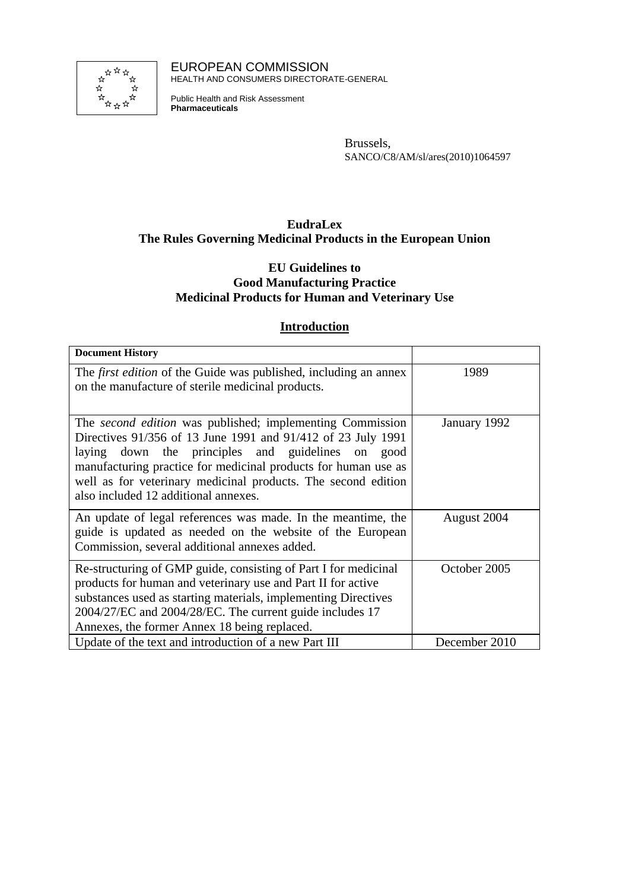

EUROPEAN COMMISSION HEALTH AND CONSUMERS DIRECTORATE-GENERAL

Public Health and Risk Assessment **Pharmaceuticals**

> Brussels, SANCO/C8/AM/sl/ares(2010)1064597

## **EudraLex The Rules Governing Medicinal Products in the European Union**

## **EU Guidelines to Good Manufacturing Practice Medicinal Products for Human and Veterinary Use**

## **Introduction**

| <b>Document History</b>                                                                                                                                                                                                                                                                                                                                          |               |
|------------------------------------------------------------------------------------------------------------------------------------------------------------------------------------------------------------------------------------------------------------------------------------------------------------------------------------------------------------------|---------------|
| The <i>first edition</i> of the Guide was published, including an annex<br>on the manufacture of sterile medicinal products.                                                                                                                                                                                                                                     | 1989          |
| The <i>second edition</i> was published; implementing Commission<br>Directives 91/356 of 13 June 1991 and 91/412 of 23 July 1991<br>laying down the principles and guidelines on good<br>manufacturing practice for medicinal products for human use as<br>well as for veterinary medicinal products. The second edition<br>also included 12 additional annexes. | January 1992  |
| An update of legal references was made. In the meantime, the<br>guide is updated as needed on the website of the European<br>Commission, several additional annexes added.                                                                                                                                                                                       | August 2004   |
| Re-structuring of GMP guide, consisting of Part I for medicinal<br>products for human and veterinary use and Part II for active<br>substances used as starting materials, implementing Directives<br>2004/27/EC and 2004/28/EC. The current guide includes 17<br>Annexes, the former Annex 18 being replaced.                                                    | October 2005  |
| Update of the text and introduction of a new Part III                                                                                                                                                                                                                                                                                                            | December 2010 |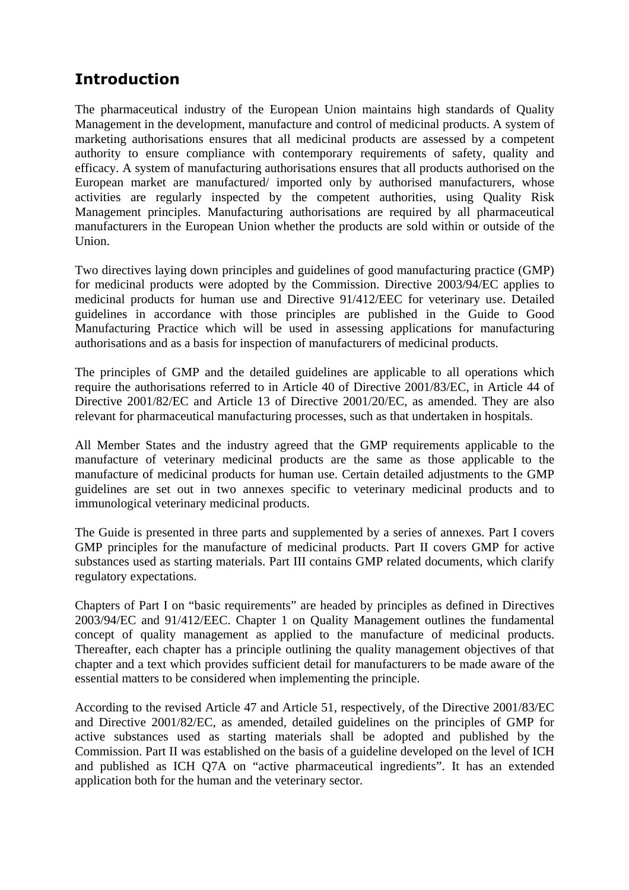## **Introduction**

The pharmaceutical industry of the European Union maintains high standards of Quality Management in the development, manufacture and control of medicinal products. A system of marketing authorisations ensures that all medicinal products are assessed by a competent authority to ensure compliance with contemporary requirements of safety, quality and efficacy. A system of manufacturing authorisations ensures that all products authorised on the European market are manufactured/ imported only by authorised manufacturers, whose activities are regularly inspected by the competent authorities, using Quality Risk Management principles. Manufacturing authorisations are required by all pharmaceutical manufacturers in the European Union whether the products are sold within or outside of the Union.

Two directives laying down principles and guidelines of good manufacturing practice (GMP) for medicinal products were adopted by the Commission. Directive 2003/94/EC applies to medicinal products for human use and Directive 91/412/EEC for veterinary use. Detailed guidelines in accordance with those principles are published in the Guide to Good Manufacturing Practice which will be used in assessing applications for manufacturing authorisations and as a basis for inspection of manufacturers of medicinal products.

The principles of GMP and the detailed guidelines are applicable to all operations which require the authorisations referred to in Article 40 of Directive 2001/83/EC, in Article 44 of Directive 2001/82/EC and Article 13 of Directive 2001/20/EC, as amended. They are also relevant for pharmaceutical manufacturing processes, such as that undertaken in hospitals.

All Member States and the industry agreed that the GMP requirements applicable to the manufacture of veterinary medicinal products are the same as those applicable to the manufacture of medicinal products for human use. Certain detailed adjustments to the GMP guidelines are set out in two annexes specific to veterinary medicinal products and to immunological veterinary medicinal products.

The Guide is presented in three parts and supplemented by a series of annexes. Part I covers GMP principles for the manufacture of medicinal products. Part II covers GMP for active substances used as starting materials. Part III contains GMP related documents, which clarify regulatory expectations.

Chapters of Part I on "basic requirements" are headed by principles as defined in Directives 2003/94/EC and 91/412/EEC. Chapter 1 on Quality Management outlines the fundamental concept of quality management as applied to the manufacture of medicinal products. Thereafter, each chapter has a principle outlining the quality management objectives of that chapter and a text which provides sufficient detail for manufacturers to be made aware of the essential matters to be considered when implementing the principle.

According to the revised Article 47 and Article 51, respectively, of the Directive 2001/83/EC and Directive 2001/82/EC, as amended, detailed guidelines on the principles of GMP for active substances used as starting materials shall be adopted and published by the Commission. Part II was established on the basis of a guideline developed on the level of ICH and published as ICH Q7A on "active pharmaceutical ingredients". It has an extended application both for the human and the veterinary sector.